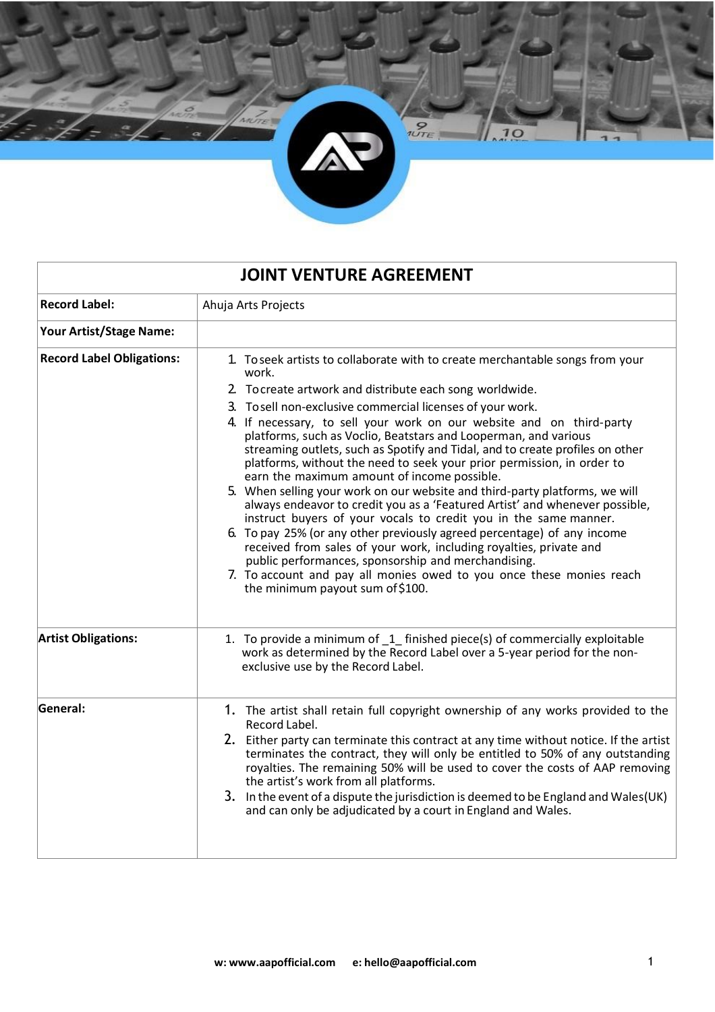

| <b>JOINT VENTURE AGREEMENT</b>   |                                                                                                                                                                                                                                                                                                                                                                                                                                                                                                                                                             |  |
|----------------------------------|-------------------------------------------------------------------------------------------------------------------------------------------------------------------------------------------------------------------------------------------------------------------------------------------------------------------------------------------------------------------------------------------------------------------------------------------------------------------------------------------------------------------------------------------------------------|--|
| <b>Record Label:</b>             | Ahuja Arts Projects                                                                                                                                                                                                                                                                                                                                                                                                                                                                                                                                         |  |
| Your Artist/Stage Name:          |                                                                                                                                                                                                                                                                                                                                                                                                                                                                                                                                                             |  |
| <b>Record Label Obligations:</b> | 1. To seek artists to collaborate with to create merchantable songs from your<br>work.                                                                                                                                                                                                                                                                                                                                                                                                                                                                      |  |
|                                  | 2. To create artwork and distribute each song worldwide.                                                                                                                                                                                                                                                                                                                                                                                                                                                                                                    |  |
|                                  | 3. To sell non-exclusive commercial licenses of your work.<br>4. If necessary, to sell your work on our website and on third-party<br>platforms, such as Voclio, Beatstars and Looperman, and various<br>streaming outlets, such as Spotify and Tidal, and to create profiles on other<br>platforms, without the need to seek your prior permission, in order to<br>earn the maximum amount of income possible.                                                                                                                                             |  |
|                                  | 5. When selling your work on our website and third-party platforms, we will<br>always endeavor to credit you as a 'Featured Artist' and whenever possible,<br>instruct buyers of your vocals to credit you in the same manner.<br>6. To pay 25% (or any other previously agreed percentage) of any income<br>received from sales of your work, including royalties, private and<br>public performances, sponsorship and merchandising.<br>7. To account and pay all monies owed to you once these monies reach<br>the minimum payout sum of \$100.          |  |
| <b>Artist Obligations:</b>       | 1. To provide a minimum of 1 finished piece(s) of commercially exploitable<br>work as determined by the Record Label over a 5-year period for the non-<br>exclusive use by the Record Label.                                                                                                                                                                                                                                                                                                                                                                |  |
| General:                         | 1. The artist shall retain full copyright ownership of any works provided to the<br>Record Label.<br>2. Either party can terminate this contract at any time without notice. If the artist<br>terminates the contract, they will only be entitled to 50% of any outstanding<br>royalties. The remaining 50% will be used to cover the costs of AAP removing<br>the artist's work from all platforms.<br>3. In the event of a dispute the jurisdiction is deemed to be England and Wales(UK)<br>and can only be adjudicated by a court in England and Wales. |  |